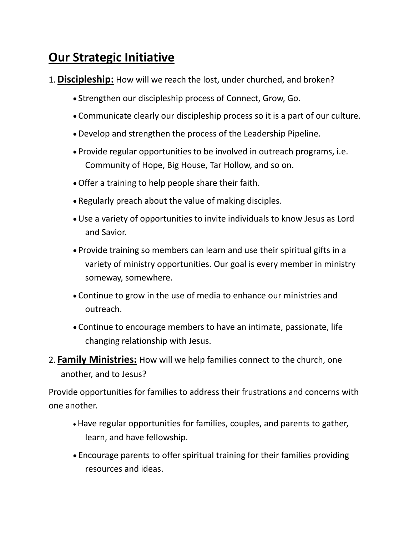## **Our Strategic Initiative**

- 1.**Discipleship:** How will we reach the lost, under churched, and broken?
	- Strengthen our discipleship process of Connect, Grow, Go.
	- Communicate clearly our discipleship process so it is a part of our culture.
	- Develop and strengthen the process of the Leadership Pipeline.
	- Provide regular opportunities to be involved in outreach programs, i.e. Community of Hope, Big House, Tar Hollow, and so on.
	- Offer a training to help people share their faith.
	- Regularly preach about the value of making disciples.
	- Use a variety of opportunities to invite individuals to know Jesus as Lord and Savior.
	- Provide training so members can learn and use their spiritual gifts in a variety of ministry opportunities. Our goal is every member in ministry someway, somewhere.
	- Continue to grow in the use of media to enhance our ministries and outreach.
	- Continue to encourage members to have an intimate, passionate, life changing relationship with Jesus.
- 2. **Family Ministries:** How will we help families connect to the church, one another, and to Jesus?

Provide opportunities for families to address their frustrations and concerns with one another.

- Have regular opportunities for families, couples, and parents to gather, learn, and have fellowship.
- Encourage parents to offer spiritual training for their families providing resources and ideas.